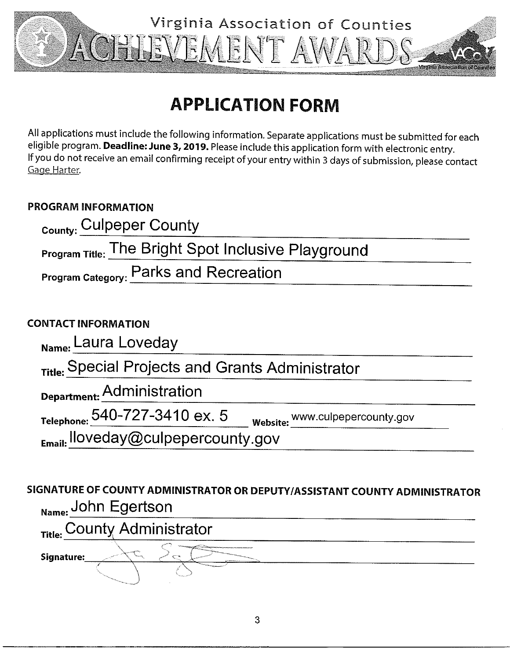

# **APPLICATION FORM**

All applications must include the following information. Separate applications must be submitted for each eligible program. Deadline: June 3, 2019. Please include this application form with electronic entry. If you do not receive an email confirming receipt of your entry within 3 days of submission, please contact Gage Harter.

### **PROGRAM INFORMATION**

| <sub>County:</sub> Culpeper County                         |  |
|------------------------------------------------------------|--|
| <b>Program Title:</b> The Bright Spot Inclusive Playground |  |
| Program Category: Parks and Recreation                     |  |
| <b>CONTACT INFORMATION</b>                                 |  |

| Name: Laura Loveday                                         |                                        |
|-------------------------------------------------------------|----------------------------------------|
| <sub>Title:</sub> Special Projects and Grants Administrator |                                        |
| Department: Administration                                  |                                        |
| Telephone: 540-727-3410 ex. 5                               | Website: <u>WWW.culpepercounty.gov</u> |
| $_{Email}$ . Iloveday@culpepercounty.gov                    |                                        |

## SIGNATURE OF COUNTY ADMINISTRATOR OR DEPUTY/ASSISTANT COUNTY ADMINISTRATOR Name: John Egertson

Title: County Administrator Signature: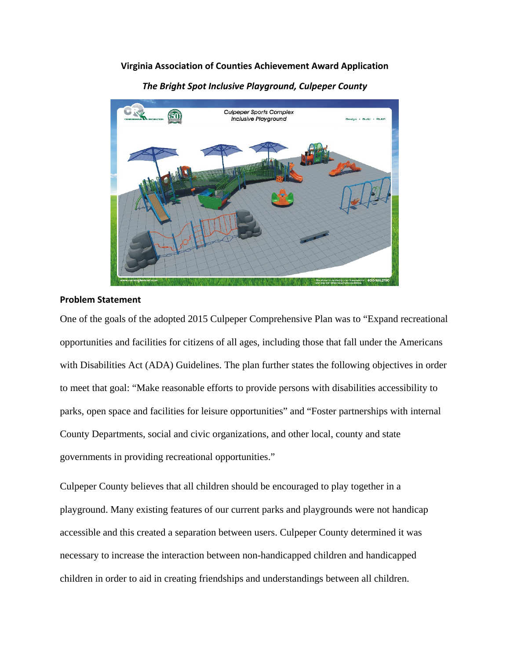#### **Virginia Association of Counties Achievement Award Application**



*The Bright Spot Inclusive Playground, Culpeper County*

#### **Problem Statement**

One of the goals of the adopted 2015 Culpeper Comprehensive Plan was to "Expand recreational opportunities and facilities for citizens of all ages, including those that fall under the Americans with Disabilities Act (ADA) Guidelines. The plan further states the following objectives in order to meet that goal: "Make reasonable efforts to provide persons with disabilities accessibility to parks, open space and facilities for leisure opportunities" and "Foster partnerships with internal County Departments, social and civic organizations, and other local, county and state governments in providing recreational opportunities."

Culpeper County believes that all children should be encouraged to play together in a playground. Many existing features of our current parks and playgrounds were not handicap accessible and this created a separation between users. Culpeper County determined it was necessary to increase the interaction between non-handicapped children and handicapped children in order to aid in creating friendships and understandings between all children.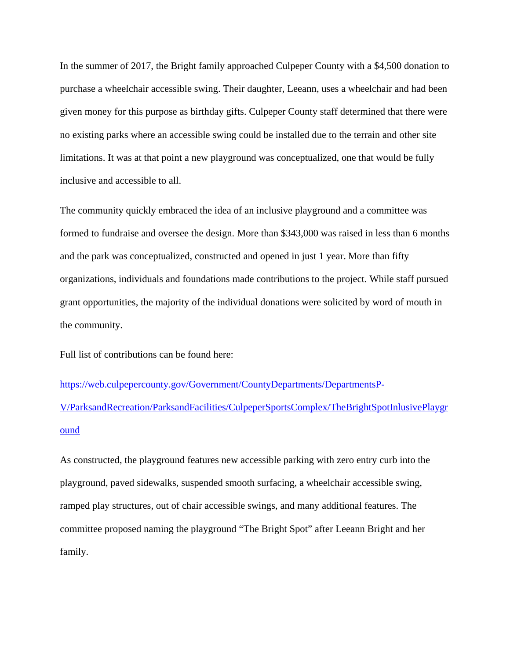In the summer of 2017, the Bright family approached Culpeper County with a \$4,500 donation to purchase a wheelchair accessible swing. Their daughter, Leeann, uses a wheelchair and had been given money for this purpose as birthday gifts. Culpeper County staff determined that there were no existing parks where an accessible swing could be installed due to the terrain and other site limitations. It was at that point a new playground was conceptualized, one that would be fully inclusive and accessible to all.

The community quickly embraced the idea of an inclusive playground and a committee was formed to fundraise and oversee the design. More than \$343,000 was raised in less than 6 months and the park was conceptualized, constructed and opened in just 1 year. More than fifty organizations, individuals and foundations made contributions to the project. While staff pursued grant opportunities, the majority of the individual donations were solicited by word of mouth in the community.

Full list of contributions can be found here:

[https://web.culpepercounty.gov/Government/CountyDepartments/DepartmentsP-](https://web.culpepercounty.gov/Government/CountyDepartments/DepartmentsP-V/ParksandRecreation/ParksandFacilities/CulpeperSportsComplex/TheBrightSpotInlusivePlayground)[V/ParksandRecreation/ParksandFacilities/CulpeperSportsComplex/TheBrightSpotInlusivePlaygr](https://web.culpepercounty.gov/Government/CountyDepartments/DepartmentsP-V/ParksandRecreation/ParksandFacilities/CulpeperSportsComplex/TheBrightSpotInlusivePlayground) [ound](https://web.culpepercounty.gov/Government/CountyDepartments/DepartmentsP-V/ParksandRecreation/ParksandFacilities/CulpeperSportsComplex/TheBrightSpotInlusivePlayground)

As constructed, the playground features new accessible parking with zero entry curb into the playground, paved sidewalks, suspended smooth surfacing, a wheelchair accessible swing, ramped play structures, out of chair accessible swings, and many additional features. The committee proposed naming the playground "The Bright Spot" after Leeann Bright and her family.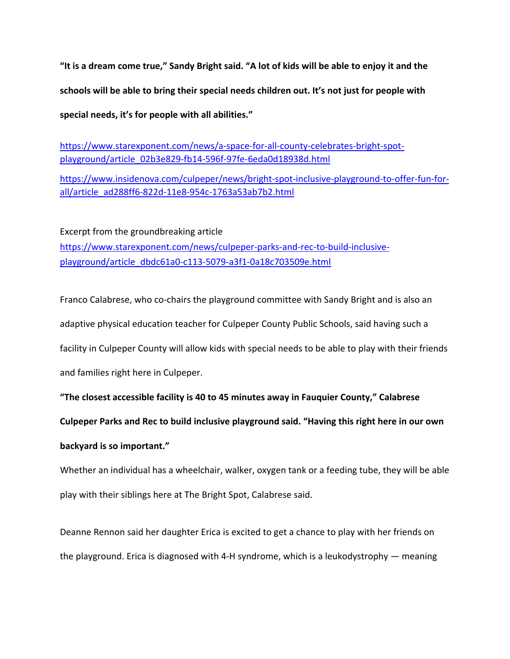**"It is a dream come true," Sandy Bright said. "A lot of kids will be able to enjoy it and the schools will be able to bring their special needs children out. It's not just for people with special needs, it's for people with all abilities."**

[https://www.starexponent.com/news/a-space-for-all-county-celebrates-bright-spot](https://www.starexponent.com/news/a-space-for-all-county-celebrates-bright-spot-playground/article_02b3e829-fb14-596f-97fe-6eda0d18938d.html)[playground/article\\_02b3e829-fb14-596f-97fe-6eda0d18938d.html](https://www.starexponent.com/news/a-space-for-all-county-celebrates-bright-spot-playground/article_02b3e829-fb14-596f-97fe-6eda0d18938d.html)

[https://www.insidenova.com/culpeper/news/bright-spot-inclusive-playground-to-offer-fun-for](https://www.insidenova.com/culpeper/news/bright-spot-inclusive-playground-to-offer-fun-for-all/article_ad288ff6-822d-11e8-954c-1763a53ab7b2.html)[all/article\\_ad288ff6-822d-11e8-954c-1763a53ab7b2.html](https://www.insidenova.com/culpeper/news/bright-spot-inclusive-playground-to-offer-fun-for-all/article_ad288ff6-822d-11e8-954c-1763a53ab7b2.html)

Excerpt from the groundbreaking article [https://www.starexponent.com/news/culpeper-parks-and-rec-to-build-inclusive](https://www.starexponent.com/news/culpeper-parks-and-rec-to-build-inclusive-playground/article_dbdc61a0-c113-5079-a3f1-0a18c703509e.html)[playground/article\\_dbdc61a0-c113-5079-a3f1-0a18c703509e.html](https://www.starexponent.com/news/culpeper-parks-and-rec-to-build-inclusive-playground/article_dbdc61a0-c113-5079-a3f1-0a18c703509e.html)

Franco Calabrese, who co-chairs the playground committee with Sandy Bright and is also an adaptive physical education teacher for Culpeper County Public Schools, said having such a facility in Culpeper County will allow kids with special needs to be able to play with their friends and families right here in Culpeper.

**"The closest accessible facility is 40 to 45 minutes away in Fauquier County," Calabrese**

**Culpeper Parks and Rec to build inclusive playground said. "Having this right here in our own** 

#### **backyard is so important."**

Whether an individual has a wheelchair, walker, oxygen tank or a feeding tube, they will be able play with their siblings here at The Bright Spot, Calabrese said.

Deanne Rennon said her daughter Erica is excited to get a chance to play with her friends on the playground. Erica is diagnosed with 4-H syndrome, which is a leukodystrophy — meaning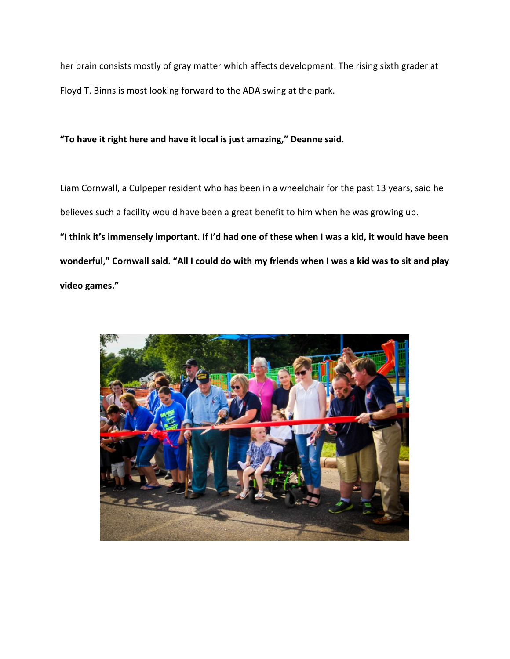her brain consists mostly of gray matter which affects development. The rising sixth grader at Floyd T. Binns is most looking forward to the ADA swing at the park.

#### **"To have it right here and have it local is just amazing," Deanne said.**

Liam Cornwall, a Culpeper resident who has been in a wheelchair for the past 13 years, said he believes such a facility would have been a great benefit to him when he was growing up. **"I think it's immensely important. If I'd had one of these when I was a kid, it would have been wonderful," Cornwall said. "All I could do with my friends when I was a kid was to sit and play video games."**

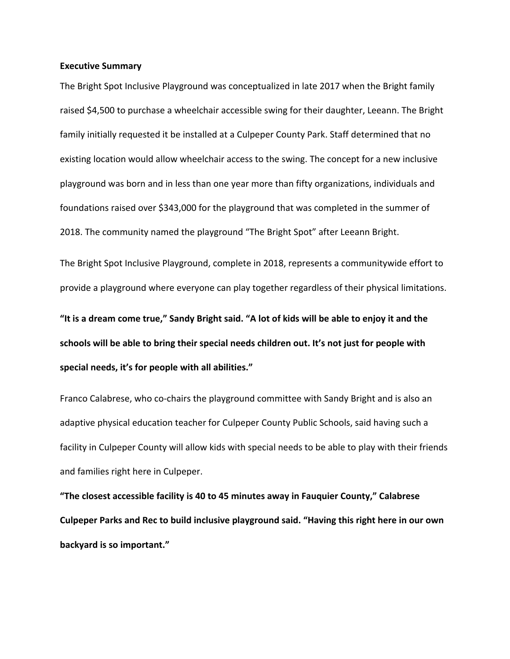#### **Executive Summary**

The Bright Spot Inclusive Playground was conceptualized in late 2017 when the Bright family raised \$4,500 to purchase a wheelchair accessible swing for their daughter, Leeann. The Bright family initially requested it be installed at a Culpeper County Park. Staff determined that no existing location would allow wheelchair access to the swing. The concept for a new inclusive playground was born and in less than one year more than fifty organizations, individuals and foundations raised over \$343,000 for the playground that was completed in the summer of 2018. The community named the playground "The Bright Spot" after Leeann Bright.

The Bright Spot Inclusive Playground, complete in 2018, represents a communitywide effort to provide a playground where everyone can play together regardless of their physical limitations.

**"It is a dream come true," Sandy Bright said. "A lot of kids will be able to enjoy it and the schools will be able to bring their special needs children out. It's not just for people with special needs, it's for people with all abilities."**

Franco Calabrese, who co-chairs the playground committee with Sandy Bright and is also an adaptive physical education teacher for Culpeper County Public Schools, said having such a facility in Culpeper County will allow kids with special needs to be able to play with their friends and families right here in Culpeper.

**"The closest accessible facility is 40 to 45 minutes away in Fauquier County," Calabrese Culpeper Parks and Rec to build inclusive playground said. "Having this right here in our own backyard is so important."**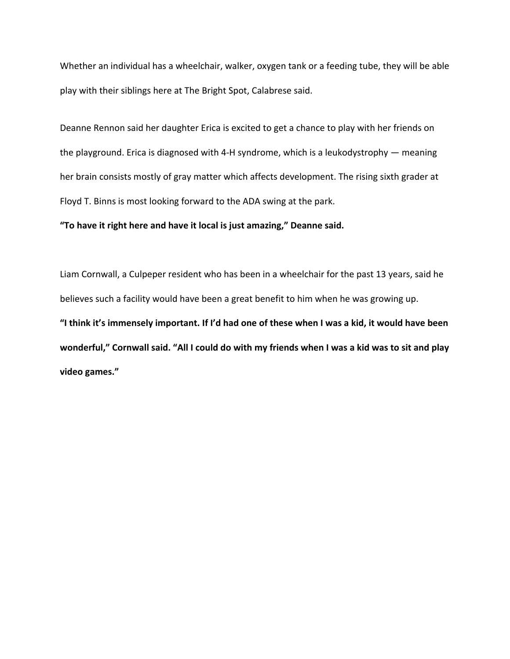Whether an individual has a wheelchair, walker, oxygen tank or a feeding tube, they will be able play with their siblings here at The Bright Spot, Calabrese said.

Deanne Rennon said her daughter Erica is excited to get a chance to play with her friends on the playground. Erica is diagnosed with 4-H syndrome, which is a leukodystrophy — meaning her brain consists mostly of gray matter which affects development. The rising sixth grader at Floyd T. Binns is most looking forward to the ADA swing at the park.

#### **"To have it right here and have it local is just amazing," Deanne said.**

Liam Cornwall, a Culpeper resident who has been in a wheelchair for the past 13 years, said he believes such a facility would have been a great benefit to him when he was growing up. **"I think it's immensely important. If I'd had one of these when I was a kid, it would have been wonderful," Cornwall said. "All I could do with my friends when I was a kid was to sit and play video games."**